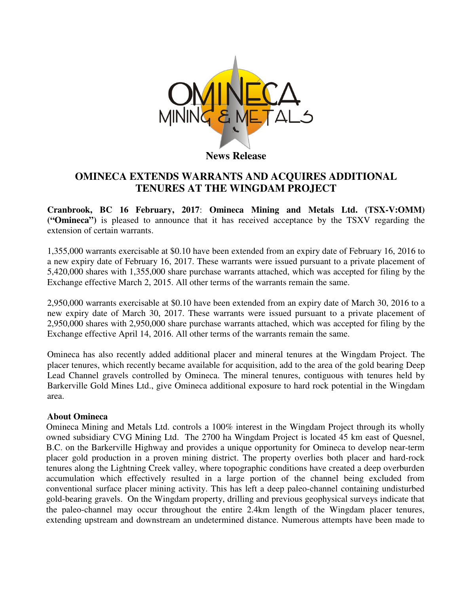

## **OMINECA EXTENDS WARRANTS AND ACQUIRES ADDITIONAL TENURES AT THE WINGDAM PROJECT**

**Cranbrook, BC 16 February, 2017**: **Omineca Mining and Metals Ltd. (TSX-V:OMM) ("Omineca")** is pleased to announce that it has received acceptance by the TSXV regarding the extension of certain warrants.

1,355,000 warrants exercisable at \$0.10 have been extended from an expiry date of February 16, 2016 to a new expiry date of February 16, 2017. These warrants were issued pursuant to a private placement of 5,420,000 shares with 1,355,000 share purchase warrants attached, which was accepted for filing by the Exchange effective March 2, 2015. All other terms of the warrants remain the same.

2,950,000 warrants exercisable at \$0.10 have been extended from an expiry date of March 30, 2016 to a new expiry date of March 30, 2017. These warrants were issued pursuant to a private placement of 2,950,000 shares with 2,950,000 share purchase warrants attached, which was accepted for filing by the Exchange effective April 14, 2016. All other terms of the warrants remain the same.

Omineca has also recently added additional placer and mineral tenures at the Wingdam Project. The placer tenures, which recently became available for acquisition, add to the area of the gold bearing Deep Lead Channel gravels controlled by Omineca. The mineral tenures, contiguous with tenures held by Barkerville Gold Mines Ltd., give Omineca additional exposure to hard rock potential in the Wingdam area.

## **About Omineca**

Omineca Mining and Metals Ltd. controls a 100% interest in the Wingdam Project through its wholly owned subsidiary CVG Mining Ltd. The 2700 ha Wingdam Project is located 45 km east of Quesnel, B.C. on the Barkerville Highway and provides a unique opportunity for Omineca to develop near-term placer gold production in a proven mining district. The property overlies both placer and hard-rock tenures along the Lightning Creek valley, where topographic conditions have created a deep overburden accumulation which effectively resulted in a large portion of the channel being excluded from conventional surface placer mining activity. This has left a deep paleo-channel containing undisturbed gold-bearing gravels. On the Wingdam property, drilling and previous geophysical surveys indicate that the paleo-channel may occur throughout the entire 2.4km length of the Wingdam placer tenures, extending upstream and downstream an undetermined distance. Numerous attempts have been made to